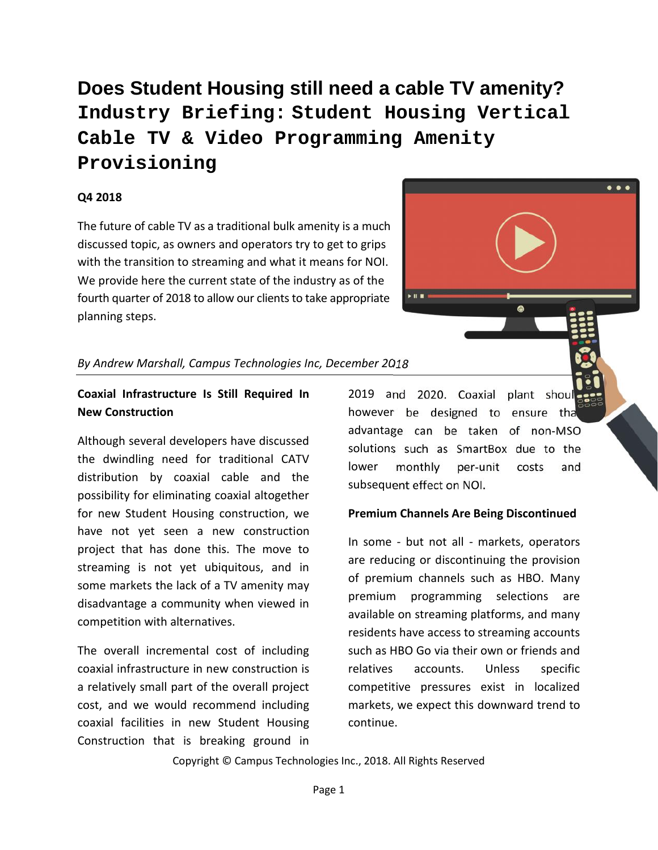**Does Student Housing still need a cable TV amenity? Industry Briefing: Student Housing Vertical Cable TV & Video Programming Amenity Provisioning**

## **Q4 2018**

The future of cable TV as a traditional bulk amenity is a much discussed topic, as owners and operators try to get to grips with the transition to streaming and what it means for NOI. We provide here the current state of the industry as of the fourth quarter of 2018 to allow our clients to take appropriate planning steps.

## *By Andrew Marshall, Campus Technologies Inc, December 2018*

## **Coaxial Infrastructure Is Still Required In New Construction**

Although several developers have discussed the dwindling need for traditional CATV distribution by coaxial cable and the possibility for eliminating coaxial altogether for new Student Housing construction, we have not yet seen a new construction project that has done this. The move to streaming is not yet ubiquitous, and in some markets the lack of a TV amenity may disadvantage a community when viewed in competition with alternatives.

The overall incremental cost of including coaxial infrastructure in new construction is a relatively small part of the overall project cost, and we would recommend including coaxial facilities in new Student Housing Construction that is breaking ground in

2019 and 2020. Coaxial plant shou however be designed to ensure that advantage can be taken of non-MSO solutions such as SmartBox due to the monthly per-unit costs and subsequent effect on NOI.

## **Premium Channels Are Being Discontinued**

In some - but not all - markets, operators are reducing or discontinuing the provision of premium channels such as HBO. Many premium programming selections are available on streaming platforms, and many residents have access to streaming accounts such as HBO Go via their own or friends and relatives accounts. Unless specific competitive pressures exist in localized markets, we expect this downward trend to continue.

Copyright © Campus Technologies Inc., 2018. All Rights Reserved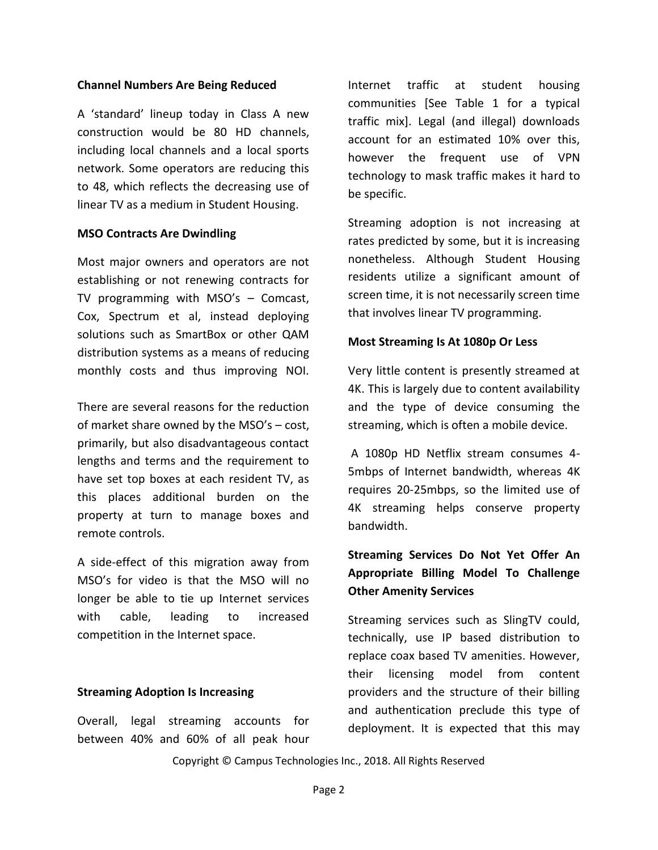#### **Channel Numbers Are Being Reduced**

A 'standard' lineup today in Class A new construction would be 80 HD channels, including local channels and a local sports network. Some operators are reducing this to 48, which reflects the decreasing use of linear TV as a medium in Student Housing.

#### **MSO Contracts Are Dwindling**

Most major owners and operators are not establishing or not renewing contracts for TV programming with MSO's – Comcast, Cox, Spectrum et al, instead deploying solutions such as SmartBox or other QAM distribution systems as a means of reducing monthly costs and thus improving NOI.

There are several reasons for the reduction of market share owned by the MSO's – cost, primarily, but also disadvantageous contact lengths and terms and the requirement to have set top boxes at each resident TV, as this places additional burden on the property at turn to manage boxes and remote controls.

A side-effect of this migration away from MSO's for video is that the MSO will no longer be able to tie up Internet services with cable, leading to increased competition in the Internet space.

#### **Streaming Adoption Is Increasing**

Overall, legal streaming accounts for between 40% and 60% of all peak hour Internet traffic at student housing communities [See Table 1 for a typical traffic mix]. Legal (and illegal) downloads account for an estimated 10% over this, however the frequent use of VPN technology to mask traffic makes it hard to be specific.

Streaming adoption is not increasing at rates predicted by some, but it is increasing nonetheless. Although Student Housing residents utilize a significant amount of screen time, it is not necessarily screen time that involves linear TV programming.

#### **Most Streaming Is At 1080p Or Less**

Very little content is presently streamed at 4K. This is largely due to content availability and the type of device consuming the streaming, which is often a mobile device.

A 1080p HD Netflix stream consumes 4- 5mbps of Internet bandwidth, whereas 4K requires 20-25mbps, so the limited use of 4K streaming helps conserve property bandwidth.

# **Streaming Services Do Not Yet Offer An Appropriate Billing Model To Challenge Other Amenity Services**

Streaming services such as SlingTV could, technically, use IP based distribution to replace coax based TV amenities. However, their licensing model from content providers and the structure of their billing and authentication preclude this type of deployment. It is expected that this may

Copyright © Campus Technologies Inc., 2018. All Rights Reserved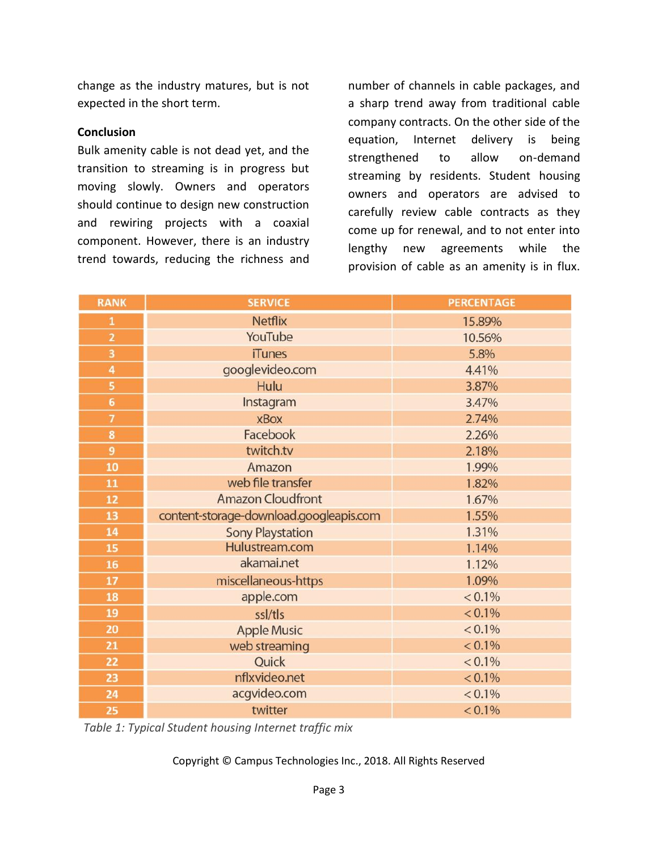change as the industry matures, but is not expected in the short term.

### **Conclusion**

Bulk amenity cable is not dead yet, and the transition to streaming is in progress but moving slowly. Owners and operators should continue to design new construction and rewiring projects with a coaxial component. However, there is an industry trend towards, reducing the richness and number of channels in cable packages, and a sharp trend away from traditional cable company contracts. On the other side of the equation, Internet delivery is being strengthened to allow on-demand streaming by residents. Student housing owners and operators are advised to carefully review cable contracts as they come up for renewal, and to not enter into lengthy new agreements while the provision of cable as an amenity is in flux.

| <b>RANK</b>    | <b>SERVICE</b>                          | <b>PERCENTAGE</b> |
|----------------|-----------------------------------------|-------------------|
| $\mathbf{1}$   | <b>Netflix</b>                          | 15.89%            |
| $\overline{2}$ | YouTube                                 | 10.56%            |
| 3              | <b>iTunes</b>                           | 5.8%              |
| 4              | googlevideo.com                         | 4.41%             |
| 5              | Hulu                                    | 3.87%             |
| 6              | Instagram                               | 3.47%             |
| $\overline{7}$ | <b>xBox</b>                             | 2.74%             |
| 8              | Facebook                                | 2.26%             |
| 9              | twitch.tv                               | 2.18%             |
| 10             | Amazon                                  | 1.99%             |
| 11             | web file transfer                       | 1.82%             |
| 12             | <b>Amazon Cloudfront</b>                | 1.67%             |
| 13             | content-storage-download.googleapis.com | 1.55%             |
| 14             | <b>Sony Playstation</b>                 | 1.31%             |
| 15             | Hulustream.com                          | 1.14%             |
| 16             | akamai.net                              | 1.12%             |
| 17             | miscellaneous-https                     | 1.09%             |
| 18             | apple.com                               | $< 0.1\%$         |
| 19             | ssl/tls                                 | $< 0.1\%$         |
| 20             | <b>Apple Music</b>                      | $< 0.1\%$         |
| 21             | web streaming                           | $< 0.1\%$         |
| 22             | Quick                                   | $< 0.1\%$         |
| 23             | nflxvideo.net                           | $< 0.1\%$         |
| 24             | acgvideo.com                            | $< 0.1\%$         |
| 25             | twitter                                 | $< 0.1\%$         |

*Table 1: Typical Student housing Internet traffic mix*

Copyright © Campus Technologies Inc., 2018. All Rights Reserved